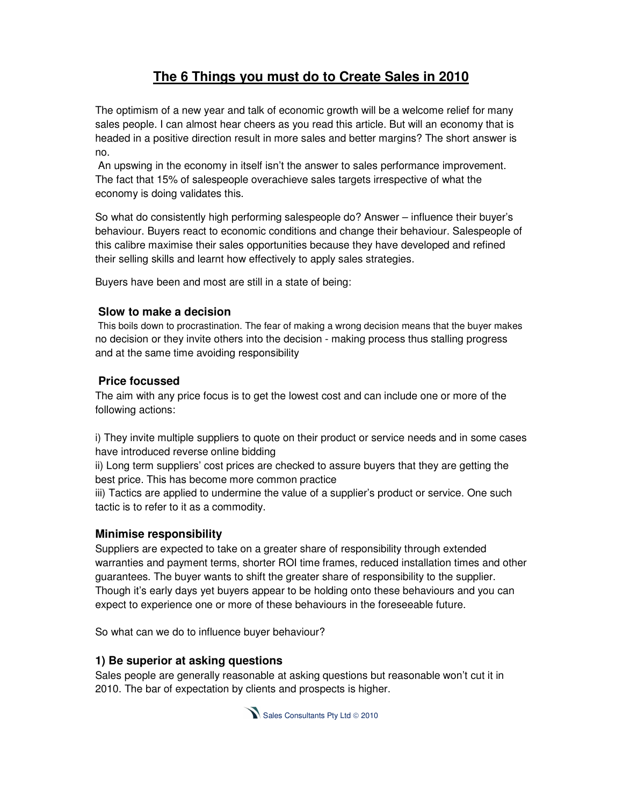# **The 6 Things you must do to Create Sales in 2010**

The optimism of a new year and talk of economic growth will be a welcome relief for many sales people. I can almost hear cheers as you read this article. But will an economy that is headed in a positive direction result in more sales and better margins? The short answer is no.

 An upswing in the economy in itself isn't the answer to sales performance improvement. The fact that 15% of salespeople overachieve sales targets irrespective of what the economy is doing validates this.

So what do consistently high performing salespeople do? Answer – influence their buyer's behaviour. Buyers react to economic conditions and change their behaviour. Salespeople of this calibre maximise their sales opportunities because they have developed and refined their selling skills and learnt how effectively to apply sales strategies.

Buyers have been and most are still in a state of being:

#### **Slow to make a decision**

 This boils down to procrastination. The fear of making a wrong decision means that the buyer makes no decision or they invite others into the decision - making process thus stalling progress and at the same time avoiding responsibility

#### **Price focussed**

The aim with any price focus is to get the lowest cost and can include one or more of the following actions:

i) They invite multiple suppliers to quote on their product or service needs and in some cases have introduced reverse online bidding

ii) Long term suppliers' cost prices are checked to assure buyers that they are getting the best price. This has become more common practice

iii) Tactics are applied to undermine the value of a supplier's product or service. One such tactic is to refer to it as a commodity.

#### **Minimise responsibility**

Suppliers are expected to take on a greater share of responsibility through extended warranties and payment terms, shorter ROI time frames, reduced installation times and other guarantees. The buyer wants to shift the greater share of responsibility to the supplier. Though it's early days yet buyers appear to be holding onto these behaviours and you can expect to experience one or more of these behaviours in the foreseeable future.

So what can we do to influence buyer behaviour?

#### **1) Be superior at asking questions**

Sales people are generally reasonable at asking questions but reasonable won't cut it in 2010. The bar of expectation by clients and prospects is higher.

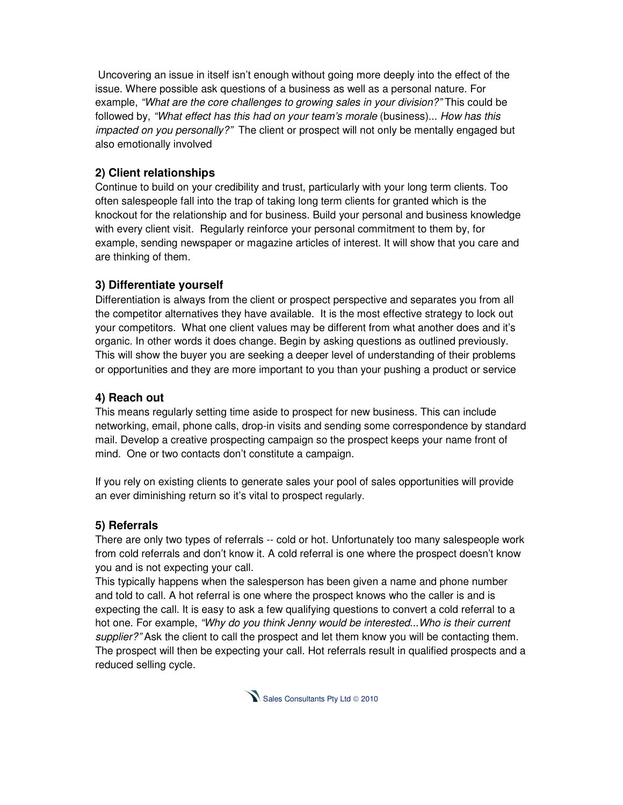Uncovering an issue in itself isn't enough without going more deeply into the effect of the issue. Where possible ask questions of a business as well as a personal nature. For example, "What are the core challenges to growing sales in your division?" This could be followed by, "What effect has this had on your team's morale (business)... How has this impacted on you personally?" The client or prospect will not only be mentally engaged but also emotionally involved

## **2) Client relationships**

Continue to build on your credibility and trust, particularly with your long term clients. Too often salespeople fall into the trap of taking long term clients for granted which is the knockout for the relationship and for business. Build your personal and business knowledge with every client visit. Regularly reinforce your personal commitment to them by, for example, sending newspaper or magazine articles of interest. It will show that you care and are thinking of them.

## **3) Differentiate yourself**

Differentiation is always from the client or prospect perspective and separates you from all the competitor alternatives they have available. It is the most effective strategy to lock out your competitors. What one client values may be different from what another does and it's organic. In other words it does change. Begin by asking questions as outlined previously. This will show the buyer you are seeking a deeper level of understanding of their problems or opportunities and they are more important to you than your pushing a product or service

## **4) Reach out**

This means regularly setting time aside to prospect for new business. This can include networking, email, phone calls, drop-in visits and sending some correspondence by standard mail. Develop a creative prospecting campaign so the prospect keeps your name front of mind. One or two contacts don't constitute a campaign.

If you rely on existing clients to generate sales your pool of sales opportunities will provide an ever diminishing return so it's vital to prospect regularly.

## **5) Referrals**

There are only two types of referrals -- cold or hot. Unfortunately too many salespeople work from cold referrals and don't know it. A cold referral is one where the prospect doesn't know you and is not expecting your call.

This typically happens when the salesperson has been given a name and phone number and told to call. A hot referral is one where the prospect knows who the caller is and is expecting the call. It is easy to ask a few qualifying questions to convert a cold referral to a hot one. For example, "Why do you think Jenny would be interested...Who is their current supplier?" Ask the client to call the prospect and let them know you will be contacting them. The prospect will then be expecting your call. Hot referrals result in qualified prospects and a reduced selling cycle.